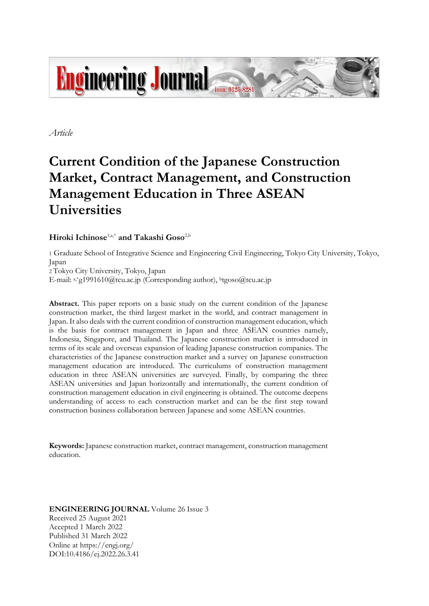

*Article*

# **Current Condition of the Japanese Construction Market, Contract Management, and Construction Management Education in Three ASEAN Universities**

**Hiroki Ichinose**1,a,\* **and Takashi Goso**2,b

1 Graduate School of Integrative Science and Engineering Civil Engineering, Tokyo City University, Tokyo, Japan

2 Tokyo City University, Tokyo, Japan

E-mail:  $a_*$ <sup>\*</sup>g1991610@tcu.ac.jp (Corresponding author), <sup>b</sup>tgoso@tcu.ac.jp

Abstract. This paper reports on a basic study on the current condition of the Japanese construction market, the third largest market in the world, and contract management in Japan. It also deals with the current condition of construction management education, which is the basis for contract management in Japan and three ASEAN countries namely, Indonesia, Singapore, and Thailand. The Japanese construction market is introduced in terms of its scale and overseas expansion of leading Japanese construction companies. The characteristics of the Japanese construction market and a survey on Japanese construction management education are introduced. The curriculums of construction management education in three ASEAN universities are surveyed. Finally, by comparing the three ASEAN universities and Japan horizontally and internationally, the current condition of construction management education in civil engineering is obtained. The outcome deepens understanding of access to each construction market and can be the first step toward construction business collaboration between Japanese and some ASEAN countries.

**Keywords:** Japanese construction market, contract management, construction management education.

**ENGINEERING JOURNAL** Volume 26 Issue 3 Received 25 August 2021 Accepted 1 March 2022 Published 31 March 2022 Online at https://engj.org/ DOI:10.4186/ej.2022.26.3.41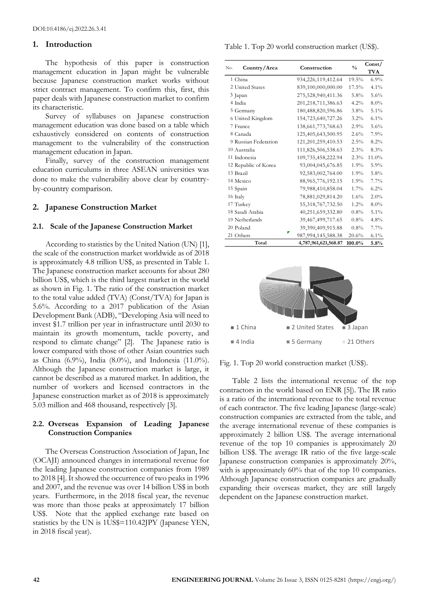#### **1. Introduction**

The hypothesis of this paper is construction management education in Japan might be vulnerable because Japanese construction market works without strict contract management. To confirm this, first, this paper deals with Japanese construction market to confirm its characteristic.

Survey of syllabuses on Japanese construction management education was done based on a table which exhaustively considered on contents of construction management to the vulnerability of the construction management education in Japan.

Finally, survey of the construction management education curriculums in three ASEAN universities was done to make the vulnerability above clear by [country](https://ejje.weblio.jp/content/country-by-country+comparison)[by-country comparison](https://ejje.weblio.jp/content/country-by-country+comparison).

#### **2. Japanese Construction Market**

#### **2.1. Scale of the Japanese Construction Market**

According to statistics by the United Nation (UN) [1], the scale of the construction market worldwide as of 2018 is approximately 4.8 trillion US\$, as presented in Table 1. The Japanese construction market accounts for about 280 billion US\$, which is the third largest market in the world as shown in Fig. 1. The ratio of the construction market to the total value added (TVA) (Const/TVA) for Japan is 5.6%. According to a 2017 publication of the Asian Development Bank (ADB), "Developing Asia will need to invest \$1.7 trillion per year in infrastructure until 2030 to maintain its growth momentum, tackle poverty, and respond to climate change" [2]. The Japanese ratio is lower compared with those of other Asian countries such as China (6.9%), India (8.0%), and Indonesia (11.0%). Although the Japanese construction market is large, it cannot be described as a matured market. In addition, the number of workers and licensed contractors in the Japanese construction market as of 2018 is approximately 5.03 million and 468 thousand, respectively [3].

### **2.2. Overseas Expansion of Leading Japanese Construction Companies**

The Overseas Construction Association of Japan, Inc (OCAJI) announced changes in international revenue for the leading Japanese construction companies from 1989 to 2018 [4]. It showed the occurrence of two peaks in 1996 and 2007, and the revenue was over 14 billion US\$ in both years. Furthermore, in the 2018 fiscal year, the revenue was more than those peaks at approximately 17 billion US\$. Note that the applied exchange rate based on statistics by the UN is 1US\$=110.42JPY (Japanese YEN, in 2018 fiscal year).

Table 1. Top 20 world construction market (US\$).

| Country/Area<br>No.  | Construction           | $\frac{0}{0}$ | Const/<br><b>TVA</b> |
|----------------------|------------------------|---------------|----------------------|
| 1 China              | 934,226,119,412.64     | 19.5%         | 6.9%                 |
| 2 United States      | 839,100,000,000.00     | 17.5%         | 4.1%                 |
| 3 Japan              | 275,528,940,411.36     | $5.8\%$       | 5.6%                 |
| 4 India              | 201, 218, 711, 386. 63 | $4.2\%$       | $8.0\%$              |
| 5 Germany            | 180,488,820,596.86     | $3.8\%$       | 5.1%                 |
| 6 United Kingdom     | 154,723,640,727.26     | $3.2\%$       | $6.1\%$              |
| 7 France             | 138, 661, 773, 768. 63 | 2.9%          | 5.6%                 |
| 8 Canada             | 125,405,643,500.95     | 2.6%          | 7.9%                 |
| 9 Russian Federation | 121, 201, 259, 410. 53 | 2.5%          | 8.2%                 |
| 10 Australia         | 111,826,506,538.63     | 2.3%          | 8.3%                 |
| 11 Indonesia         | 109,735,458,222.94     | 2.3%          | 11.0%                |
| 12 Republic of Korea | 93,004,045,676.85      | $1.9\%$       | 5.9%                 |
| 13 Brazil            | 92,583,002,764.00      | $1.9\%$       | 5.8%                 |
| 14 Mexico            | 88, 965, 776, 192. 15  | $1.9\%$       | 7.7%                 |
| 15 Spain             | 79,988,410,858.04      | 1.7%          | $6.2\%$              |
| 16 Italy             | 78,881,029,814.20      | 1.6%          | $2.0\%$              |
| 17 Turkey            | 55,318,767,732.50      | $1.2\%$       | $8.0\%$              |
| 18 Saudi Arabia      | 40,251,659,332.80      | $0.8\%$       | 5.1%                 |
| 19 Netherlands       | 39,467,499,717.65      | $0.8\%$       | 4.8%                 |
| 20 Poland            | 39,390,409,915.88      | $0.8\%$       | 7.7%                 |
| 21 Others            | 987,994,145,588.38     | 20.6%         | $6.1\%$              |
| Total                | 4,787,961,621,568.87   | 100.0%        | 5.8%                 |



Fig. 1. Top 20 world construction market (US\$).

Table 2 lists the international revenue of the top contractors in the world based on ENR [5]). The IR ratio is a ratio of the international revenue to the total revenue of each contractor. The five leading Japanese (large-scale) construction companies are extracted from the table, and the average international revenue of these companies is approximately 2 billion US\$. The average international revenue of the top 10 companies is approximately 20 billion US\$. The average IR ratio of the five large-scale Japanese construction companies is approximately 20%, with is approximately 60% that of the top 10 companies. Although Japanese construction companies are gradually expanding their overseas market, they are still largely dependent on the Japanese construction market.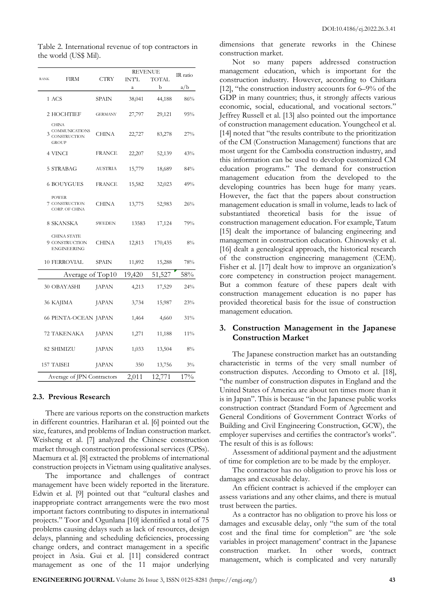|                                                                       |                | <b>REVENUE</b> |              | IR ratio |
|-----------------------------------------------------------------------|----------------|----------------|--------------|----------|
| <b>RANK</b><br>FIRM                                                   | CTRY           | INT'L          | <b>TOTAL</b> |          |
|                                                                       |                | a              | b            | a/b      |
| 1 ACS                                                                 | SPAIN          | 38,041         | 44,188       | 86%      |
| 2 HOCHTIEF                                                            | <b>GERMANY</b> | 27,797         | 29,121       | 95%      |
| <b>CHINA</b><br><b>COMMUNICATIONS</b><br>CONSTRUCTION<br><b>GROUP</b> | <b>CHINA</b>   | 22,727         | 83,278       | 27%      |
| 4 VINCI                                                               | <b>FRANCE</b>  | 22,207         | 52,139       | 43%      |
| 5 STRABAG                                                             | AUSTRIA        | 15,779         | 18,689       | 84%      |
| <b>6 BOUYGUES</b>                                                     | <b>FRANCE</b>  | 15,582         | 32,023       | 49%      |
| <b>POWER</b><br>7 CONSTRUCTION<br><b>CORP. OF CHINA</b>               | <b>CHINA</b>   | 13,775         | 52,983       | 26%      |
| 8 SKANSKA                                                             | SWEDEN         | 13583          | 17,124       | 79%      |
| <b>CHINA STATE</b><br>9 CONSTRUCTION<br><b>ENGINEERING</b>            | CHINA          | 12,813         | 170,435      | $8\%$    |
| <b>10 FERROVIAL</b>                                                   | <b>SPAIN</b>   | 11,892         | 15,288       | 78%      |
| Average of Top10                                                      |                | 19,420         | 51,527       | 58%      |
| 30 OBAYASHI                                                           | <b>JAPAN</b>   | 4,213          | 17,529       | 24%      |
| 36 KAJIMA                                                             | <b>JAPAN</b>   | 3,734          | 15,987       | 23%      |
| <b>66 PENTA-OCEAN JAPAN</b>                                           |                | 1,464          | 4,660        | 31%      |
| 72 TAKENAKA                                                           | <b>JAPAN</b>   | 1,271          | 11,188       | 11%      |
| 82 SHIMIZU                                                            | <b>JAPAN</b>   | 1,033          | 13,504       | 8%       |
| 157 TAISEI                                                            | <b>JAPAN</b>   | 350            | 13,756       | $3\%$    |
| Average of JPN Contractors                                            |                | 2,011          | 12,771       | 17%      |

Table 2. International revenue of top contractors in the world (US\$ Mil).

#### **2.3. Previous Research**

There are various reports on the construction markets in different countries. Hariharan et al. [6] pointed out the size, features, and problems of Indian construction market. Weisheng et al. [7] analyzed the Chinese construction market through construction professional services (CPSs). Maemura et al. [8] extracted the problems of international construction projects in Vietnam using qualitative analyses.

The importance and challenges of contract management have been widely reported in the literature. Edwin et al. [9] pointed out that "cultural clashes and inappropriate contract arrangements were the two most important factors contributing to disputes in international projects." Toor and Ogunlana [10] identified a total of 75 problems causing delays such as lack of resources, design delays, planning and scheduling deficiencies, processing change orders, and contract management in a specific project in Asia. Gui et al. [11] considered contract management as one of the 11 major underlying

dimensions that generate reworks in the Chinese construction market.

Not so many papers addressed construction management education, which is important for the construction industry. However, according to Chitkara [12], "the construction industry accounts for 6–9% of the GDP in many countries; thus, it strongly affects various economic, social, educational, and vocational sectors." Jeffrey Russell et al. [13] also pointed out the importance of construction management education. Youngcheol et al. [14] noted that "the results contribute to the prioritization of the CM (Construction Management) functions that are most urgent for the Cambodia construction industry, and this information can be used to develop customized CM education programs." The demand for construction management education from the developed to the developing countries has been huge for many years. However, the fact that the papers about construction management education is small in volume, leads to lack of substantiated theoretical basis for the issue of construction management education. For example, Tatum [15] dealt the importance of balancing engineering and management in construction education. Chinowsky et al. [16] dealt a genealogical approach, the historical research of the construction engineering management (CEM). Fisher et al. [17] dealt how to improve an organization's core competency in construction project management. But a common feature of these papers dealt with construction management education is no paper has provided theoretical basis for the issue of construction management education.

# **3. Construction Management in the Japanese Construction Market**

The Japanese construction market has an outstanding characteristic in terms of the very small number of construction disputes. According to Omoto et al. [18], "the number of construction disputes in England and the United States of America are about ten times more than it is in Japan". This is because "in the Japanese public works construction contract (Standard Form of Agreement and General Conditions of Government Contract Works of Building and Civil Engineering Construction, GCW), the employer supervises and certifies the contractor's works". The result of this is as follows:

Assessment of additional payment and the adjustment of time for completion are to be made by the employer.

The contractor has no obligation to prove his loss or damages and excusable delay.

An efficient contract is achieved if the employer can assess variations and any other claims, and there is mutual trust between the parties.

As a contractor has no obligation to prove his loss or damages and excusable delay, only "the sum of the total cost and the final time for completion" are 'the sole variables in project management' contract in the Japanese construction market. In other words, contract management, which is complicated and very naturally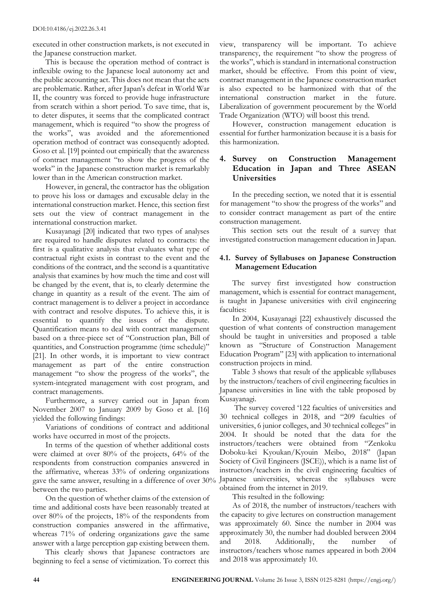executed in other construction markets, is not executed in the Japanese construction market.

This is because the operation method of contract is inflexible owing to the Japanese local autonomy act and the public accounting act. This does not mean that the acts are problematic. Rather, afte[r Japan's](https://ejje.weblio.jp/content/Japan) [defeat](https://ejje.weblio.jp/content/defeat) [in World](https://ejje.weblio.jp/content/in+World) [War](https://ejje.weblio.jp/content/War) II, the country was forced to provide huge infrastructure from scratch within a short period. To save time, that is, to deter disputes, it seems that the complicated contract management, which is required "to show the progress of the works", was avoided and the aforementioned operation method of contract was consequently adopted. Goso et al. [19] pointed out empirically that the awareness of contract management "to show the progress of the works" in the Japanese construction market is remarkably lower than in the American construction market.

However, in general, the contractor has the obligation to prove his loss or damages and excusable delay in the international construction market. Hence, this section first sets out the view of contract management in the international construction market.

Kusayanagi [20] indicated that two types of analyses are required to handle disputes related to contracts: the first is a qualitative analysis that evaluates what type of contractual right exists in contrast to the event and the conditions of the contract, and the second is a quantitative analysis that examines by how much the time and cost will be changed by the event, that is, to clearly determine the change in quantity as a result of the event. The aim of contract management is to deliver a project in accordance with contract and resolve disputes. To achieve this, it is essential to quantify the issues of the dispute. Quantification means to deal with contract management based on a three-piece set of "Construction plan, Bill of quantities, and Construction programme (time schedule)" [21]. In other words, it is important to view contract management as part of the entire construction management "to show the progress of the works", the system-integrated management with cost program, and contract managements.

Furthermore, a survey carried out in Japan from November 2007 to January 2009 by Goso et al. [16] yielded the following findings:

Variations of conditions of contract and additional works have occurred in most of the projects.

In terms of the question of whether additional costs were claimed at over 80% of the projects, 64% of the respondents from construction companies answered in the affirmative, whereas 33% of ordering organizations gave the same answer, resulting in a difference of over 30% Japanese universities, whereas the syllabuses were between the two parties.

On the question of whether claims of the extension of time and additional costs have been reasonably treated at over 80% of the projects, 18% of the respondents from construction companies answered in the affirmative, whereas 71% of ordering organizations gave the same answer with a large perception gap existing between them.

This clearly shows that Japanese contractors are beginning to feel a sense of victimization. To correct this view, transparency will be important. To achieve transparency, the requirement "to show the progress of the works", which is standard in international construction market, should be effective. From this point of view, contract management in the Japanese construction market is also expected to be harmonized with that of the international construction market in the future. Liberalization of government procurement by the World Trade Organization (WTO) will boost this trend.

However, construction management education is essential for further harmonization because it is a basis for this harmonization.

# **4. Survey on Construction Management Education in Japan and Three ASEAN Universities**

In the preceding section, we noted that it is essential for management "to show the progress of the works" and to consider contract management as part of the entire construction management.

This section sets out the result of a survey that investigated construction management education in Japan.

# **4.1. Survey of Syllabuses on Japanese Construction Management Education**

The survey first investigated how construction management, which is essential for contract management, is taught in Japanese universities with civil engineering faculties:

In 2004, Kusayanagi [22] exhaustively discussed the question of what contents of construction management should be taught in universities and proposed a table known as "Structure of Construction Management Education Program" [23] with application to international construction projects in mind.

Table 3 shows that result of the applicable syllabuses by the instructors/teachers of civil engineering faculties in Japanese universities in line with the table proposed by Kusayanagi.

The survey covered '122 faculties of universities and 30 technical colleges in 2018, and "209 faculties of universities, 6 junior colleges, and 30 technical colleges" in 2004. It should be noted that the data for the instructors/teachers were obtained from "Zenkoku Doboku-kei Kyoukan/Kyouin Meibo, 2018" (Japan Society of Civil Engineers (JSCE)), which is a name list of instructors/teachers in the civil engineering faculties of obtained from the internet in 2019.

This resulted in the following:

As of 2018, the number of instructors/teachers with the capacity to give lectures on construction management was approximately 60. Since the number in 2004 was approximately 30, the number had doubled between 2004 and 2018. Additionally, the number of instructors/teachers whose names appeared in both 2004 and 2018 was approximately 10.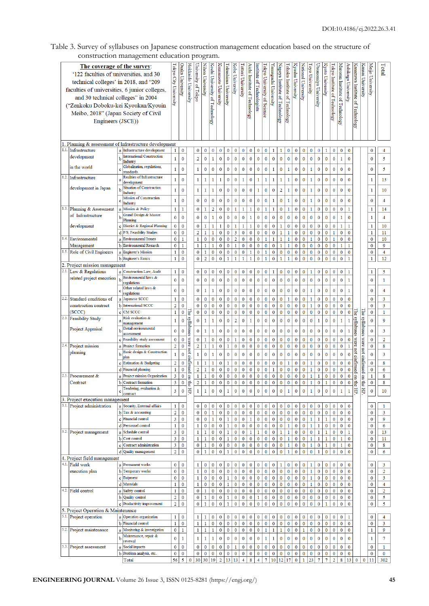# Table 3. Survey of syllabuses on Japanese construction management education based on the structure of construction management education program.

|      |                                                | The coverage of the survey:<br>'122 faculties of universities, and 30<br>technical colleges' in 2018, and "209<br>faculties of universities, 6 junior colleges,<br>and 30 technical colleges" in 2004<br>("Zenkoku Doboku-kei Kyoukan/Kyouin<br>Meibo, 2018" (Japan Society of Civil<br>Engineers (JSCE)) |                                                                   | Tokyo City University            | Osaka<br>University              | Hokkaido University              | University of Tokyo              | Nihon University               | Kochi University of Technology | Kunamoto University         | Tokushima University         | <b>Zobe University</b>  | Tottori University       | Aichi Institute of Technology | nstitute<br>of Technologists | Tokyo University of Science  | amaguchi University      | Vagoya Institute of Technology | ohoku Institute of Technology | Kyushu University           | Vational University      | oyo University           | Utsunomiya University    | Kyoto University            | okyo Institute of Technology | √luroran Institute of Technology | Ashikaga University         | Kanazawa Institute of Technology | Kansai<br>University                 | Meijo University             | Lotal          |
|------|------------------------------------------------|-----------------------------------------------------------------------------------------------------------------------------------------------------------------------------------------------------------------------------------------------------------------------------------------------------------|-------------------------------------------------------------------|----------------------------------|----------------------------------|----------------------------------|----------------------------------|--------------------------------|--------------------------------|-----------------------------|------------------------------|-------------------------|--------------------------|-------------------------------|------------------------------|------------------------------|--------------------------|--------------------------------|-------------------------------|-----------------------------|--------------------------|--------------------------|--------------------------|-----------------------------|------------------------------|----------------------------------|-----------------------------|----------------------------------|--------------------------------------|------------------------------|----------------|
|      |                                                |                                                                                                                                                                                                                                                                                                           | 1. Planning & assessment of Infrastructure development            |                                  |                                  |                                  |                                  |                                |                                |                             |                              |                         |                          |                               |                              |                              |                          |                                |                               |                             |                          |                          |                          |                             |                              |                                  |                             |                                  |                                      |                              |                |
|      | 1.1. Infrastructure<br>development             |                                                                                                                                                                                                                                                                                                           | a Infrastructure development<br><b>International Construction</b> | $\mathbf{1}$                     | $\bf{0}$                         |                                  | 0                                | $\bf{0}$                       | $\overline{0}$                 | $\overline{0}$              | $\bf{0}$                     | 0                       | $\bf{0}$                 | $\bf{0}$                      | $\mathbf{0}$                 | $\bf{0}$                     | 1                        | $\mathbf{1}$                   | $\bf{0}$                      | $\overline{0}$              | $\bf{0}$                 | $\mathbf 0$              | $\bf{0}$                 | 1                           | 0                            | $\bf{0}$                         | $\bf{0}$                    |                                  |                                      | $\bf{0}$                     | 4              |
|      |                                                | b                                                                                                                                                                                                                                                                                                         | Industry                                                          | $\mathbf{1}$                     | $\bf{0}$                         |                                  | $\overline{2}$                   | $\bf{0}$                       | $\mathbf{1}$                   | $\bf{0}$                    | $\bf{0}$                     | $\bf{0}$                | $\bf{0}$                 | $\bf{0}$                      | 0                            | $\bf{0}$                     | $\bf{0}$                 | $\bf{0}$                       | $\bf{0}$                      | $\bf{0}$                    | $\bf{0}$                 | $\bf{0}$                 | $\bf{0}$                 | $\bf{0}$                    | $\bf{0}$                     | $\mathbf{1}$                     | $\bf{0}$                    |                                  |                                      | $\bf{0}$                     | 5              |
|      | in the world                                   |                                                                                                                                                                                                                                                                                                           | Globalization, regulations,<br>standards                          | $\mathbf{1}$                     | $\overline{0}$                   |                                  | $\mathbf{1}$                     | $\bf{0}$                       | $\bf{0}$                       | $\mathbf 0$                 | $\mathbf 0$                  | $\bf{0}$                | $\bf{0}$                 | $\bf{0}$                      | $\overline{0}$               | $\bf{0}$                     | $\mathbf{1}$             | $\bf{0}$                       | $\mathbf{1}$                  | $\mathbf 0$                 | $\mathbf 0$              | $\mathbf{1}$             | $\bf{0}$                 | $\mathbf 0$                 | $\overline{0}$               | $\mathbf{0}$                     | $\mathbf{0}$                |                                  |                                      | $\mathbf 0$                  | 5              |
| 1.2. | Infrastructure                                 | a                                                                                                                                                                                                                                                                                                         | Realities of Infrastructure                                       | $\mathbf{1}$                     | $\mathbf{0}$                     |                                  | $\mathbf{1}$                     | $\mathbf{1}$                   | $\mathbf{1}$                   | 1                           | $\mathbf{0}$                 | $\bf{0}$                | $\mathbf{1}$             | $\mathbf{0}$                  | 1                            | $\mathbf{1}$                 | $\mathbf{1}$             | $\mathbf{1}$                   | $\mathbf{1}$                  | $\mathbf 0$                 | $\mathbf{0}$             | $\mathbf{1}$             | $\bf{0}$                 | $\mathbf{0}$                | $\bf{0}$                     | $\mathbf{0}$                     | $\mathbf{0}$                |                                  |                                      | 1                            | 13             |
|      | development in Japan                           |                                                                                                                                                                                                                                                                                                           | development<br>Situation of Construction                          |                                  |                                  |                                  |                                  |                                |                                |                             |                              |                         |                          |                               |                              |                              |                          |                                |                               |                             |                          |                          |                          |                             |                              |                                  |                             |                                  |                                      |                              |                |
|      |                                                | b                                                                                                                                                                                                                                                                                                         | Industry                                                          | $\mathbf{1}$                     | $\overline{0}$                   |                                  | $\mathbf{1}$                     | $\mathbf{1}$                   | $\mathbf{1}$                   | $\bf{0}$                    | $\bf{0}$                     | $\bf{0}$                | $\bf{0}$                 | $\bf{0}$                      | $\mathbf{1}$                 | $\bf{0}$                     | $\bf{0}$                 | $\overline{2}$                 | $\mathbf{1}$                  | $\bf{0}$                    | $\bf{0}$                 | $\mathbf{1}$             | $\bf{0}$                 | $\bf{0}$                    | $\overline{0}$               | $\bf{0}$                         | $\bf{0}$                    |                                  |                                      | $\mathbf{1}$                 | 10             |
|      |                                                | c                                                                                                                                                                                                                                                                                                         | Mission of Construction<br>Industry                               | $\mathbf{1}$                     | $\bf{0}$                         |                                  | $\mathbf{0}$                     | $\bf{0}$                       | $\bf{0}$                       | $\mathbf 0$                 | $\mathbf 0$                  | $\bf{0}$                | $\bf{0}$                 | $\bf{0}$                      | $\bf{0}$                     | $\bf{0}$                     | $\mathbf{1}$             | $\bf{0}$                       | $\mathbf{1}$                  | $\bf{0}$                    | $\bf{0}$                 | $\mathbf{1}$             | $\bf{0}$                 | $\bf{0}$                    | 0                            | $\bf{0}$                         | $\mathbf{0}$                |                                  |                                      | $\bf{0}$                     | 4              |
| 1.3. | Planning & Assessment                          |                                                                                                                                                                                                                                                                                                           | a Mission & Policy                                                | $\mathbf{1}$                     | 1                                |                                  | 0                                | $\mathbf{1}$                   | $\overline{2}$                 | $\mathbf 0$                 | $\bf{0}$                     | $\mathbf{1}$            | $\mathbf 1$              | 1                             | $\mathbf 0$                  | $\mathbf{1}$                 | $\mathbf{1}$             | $\pmb{0}$                      | $\mathbf{1}$                  | $\overline{0}$              | $\bf{0}$                 | $\mathbf{1}$             | $\bf{0}$                 | $\bf{0}$                    | 0                            | $\bf{0}$                         | 1                           |                                  |                                      | $\mathbf{1}$                 | 14             |
|      | of Infrastructure                              | b                                                                                                                                                                                                                                                                                                         | Grand Design & Master<br>Planning                                 | $\mathbf{0}$                     | $\mathbf{0}$                     |                                  | $\mathbf{0}$                     | $\bf{0}$                       | $\mathbf{1}$                   | $\bf{0}$                    | $\mathbf 0$                  | $\bf{0}$                | $\bf{0}$                 | $\mathbf{1}$                  | $\bf{0}$                     | $\overline{0}$               | $\bf{0}$                 | $\mathbf{0}$                   | $\bf{0}$                      | $\mathbf{0}$                | $\bf{0}$                 | $\bf{0}$                 | $\bf{0}$                 | $\mathbf{0}$                | $\mathbf{0}$                 | $\mathbf{1}$                     | $\mathbf{0}$                |                                  |                                      | $\mathbf{1}$                 | 4              |
|      | development                                    | c                                                                                                                                                                                                                                                                                                         | District & Regional Planning                                      | $\mathbf{0}$                     | $\mathbf{0}$                     |                                  | 0                                | $\mathbf{1}$                   | $\mathbf{1}$                   | $\mathbf{1}$                | $\bf{0}$                     | $\mathbf{1}$            | $\mathbf{1}$             | $\mathbf{1}$                  | $\overline{0}$               | $\overline{0}$               | $\bf{0}$                 | $\mathbf{1}$                   | $\bf{0}$                      | $\bf{0}$                    | $\bf{0}$                 | $\bf{0}$                 | $\bf{0}$                 | $\mathbf{0}$                | $\bf{0}$                     | $\mathbf{1}$                     | $\mathbf{1}$                |                                  |                                      | $\mathbf{1}$                 | 10             |
|      |                                                |                                                                                                                                                                                                                                                                                                           | d F/S, Feasibility Studies                                        | $\mathbf{0}$                     | $\mathbf 0$                      |                                  | $\overline{2}$                   | $\mathbf{1}$                   | $\mathbf{1}$                   | $\bf{0}$                    | $\mathbf{0}$                 | $\overline{\mathbf{3}}$ | $\bf{0}$                 | $\bf{0}$                      | $\mathbf 0$                  | $\bf{0}$                     | $\bf{0}$                 | $\mathbf{1}$                   | $\mathbf{1}$                  | $\mathbf 0$                 | $\bf{0}$                 | $\bf{0}$                 | $\bf{0}$                 | $\bf{0}$                    | $\mathbf{1}$                 | $\mathbf{0}$                     | $\mathbf{0}$                |                                  |                                      | $\mathbf{1}$                 | 11             |
| 1.4. | Environmental                                  | a                                                                                                                                                                                                                                                                                                         | <b>Environmental Issues</b>                                       | $\mathbf{0}$                     | $\mathbf{1}$                     |                                  | $\mathbf{1}$                     | $\bf{0}$                       | $\mathbf 0$                    | $\overline{0}$              | $\mathbf 0$                  | $\overline{c}$          | $\bf{0}$                 | $\bf{0}$                      | $\mathbf 0$                  | $\mathbf{1}$                 | $\mathbf{1}$             | $\mathbf{1}$                   | $\mathbf{1}$                  | $\overline{0}$              | $\bf{0}$                 | $\mathbf{1}$             | $\bf{0}$                 | $\bf{0}$                    | $\mathbf{1}$                 | $\bf{0}$                         | $\overline{0}$              |                                  |                                      | $\mathbf{0}$                 | 10             |
|      | Management                                     |                                                                                                                                                                                                                                                                                                           | <b>b</b> Environmental Resarch                                    | $\mathbf{0}$                     | $\mathbf{1}$                     |                                  | $\mathbf{1}$                     | $\mathbf{1}$                   | $\mathbf{1}$                   | $\bf{0}$                    | $\bf{0}$                     | $\mathbf{1}$            | $\bf{0}$                 | $\bf{0}$                      | $\mathbf 0$                  | $\bf{0}$                     | $\bf{0}$                 | $\mathbf{1}$                   | $\mathbf 1$                   | $\bf{0}$                    | $\mathbf 0$              | $\bf{0}$                 | $\bf{0}$                 | $\mathbf 0$                 | $\mathbf 0$                  | $\mathbf{1}$                     | $\mathbf{1}$                |                                  |                                      | $\bf{0}$                     | 9              |
|      | 1.5. Role of Civil Engineers                   |                                                                                                                                                                                                                                                                                                           | a Engineer's Mission<br><b>b</b> Engineer's Essics                | $\mathbf{1}$<br>$\mathbf{1}$     | $\overline{0}$<br>$\overline{0}$ |                                  | $\overline{0}$<br>$\overline{0}$ | $\mathbf{1}$<br>$\overline{2}$ | $\bf{0}$<br>$\bf{0}$           | $\bf{0}$<br>$\mathbf 0$     | $\bf{0}$<br>$\mathbf{1}$     | 0<br>$\mathbf{1}$       | $\bf{0}$<br>$\mathbf{1}$ | 1<br>$\mathbf{1}$             | $\bf{0}$<br>$\overline{0}$   | $\mathbf{1}$<br>$\mathbf{1}$ | $\bf{0}$<br>$\bf{0}$     | $\pmb{0}$<br>$\mathbf{1}$      | $\bf{0}$<br>$\mathbf{1}$      | $\mathbf 0$<br>$\mathbf{0}$ | $\bf{0}$<br>$\mathbf 0$  | $\bf{0}$<br>$\bf{0}$     | $\bf{0}$<br>$\bf{0}$     | $\mathbf 0$<br>$\mathbf{0}$ | 0<br>$\overline{\mathbf{0}}$ | $\mathbf 0$<br>$\bf{0}$          | $\bf{0}$<br>$\mathbf{1}$    |                                  |                                      | $\bf{0}$<br>$\mathbf{1}$     | 4<br>12        |
|      | 2. Project mission management                  |                                                                                                                                                                                                                                                                                                           |                                                                   |                                  |                                  |                                  |                                  |                                |                                |                             |                              |                         |                          |                               |                              |                              |                          |                                |                               |                             |                          |                          |                          |                             |                              |                                  |                             |                                  |                                      |                              |                |
|      | 2.1. Law & Regulations                         |                                                                                                                                                                                                                                                                                                           | a Construction Law, Audit                                         | $\mathbf{1}$                     | $\bf{0}$                         |                                  | 0                                | $\bf{0}$                       | $\bf{0}$                       | 0                           | 0                            | 0                       | $\bf{0}$                 | 0                             | 0                            | $\bf{0}$                     | 1                        | $\bf{0}$                       | $\bf{0}$                      | 0                           | 0                        | 1                        | $\bf{0}$                 | $\bf{0}$                    | 0                            | $\bf{0}$                         | 1                           |                                  |                                      | $\mathbf{1}$                 | 5              |
|      | related project execution                      | $\mathbf b$                                                                                                                                                                                                                                                                                               | Environmental laws &                                              | $\mathbf{0}$                     | $\mathbf{0}$                     |                                  | $\overline{0}$                   | $\mathbf{0}$                   | $\bf{0}$                       | $\mathbf 0$                 | $\mathbf 0$                  | $\bf{0}$                | $\mathbf{0}$             | $\bf{0}$                      | $\mathbf 0$                  | $\mathbf{0}$                 | $\bf{0}$                 | $\mathbf{0}$                   | $\bf{0}$                      | $\mathbf{0}$                | $\mathbf 0$              | $\bf{0}$                 | $\mathbf{0}$             | $\overline{0}$              | $\mathbf{0}$                 | $\mathbf{0}$                     | 1                           |                                  |                                      | $\mathbf{0}$                 | 1              |
|      |                                                |                                                                                                                                                                                                                                                                                                           | regulations<br>Other related laws &                               |                                  |                                  |                                  |                                  |                                |                                |                             |                              |                         |                          |                               |                              |                              |                          |                                |                               |                             |                          |                          |                          |                             |                              |                                  |                             |                                  |                                      |                              |                |
|      |                                                |                                                                                                                                                                                                                                                                                                           | regulations                                                       | $\bf{0}$                         | $\overline{0}$                   |                                  | $\bf{0}$                         | $\mathbf{1}$                   | $\mathbf{1}$                   | $\bf{0}$                    | $\bf{0}$                     | $\bf{0}$                | $\bf{0}$                 | $\bf{0}$                      | $\mathbf 0$                  | $\bf{0}$                     | $\bf{0}$                 | $\mathbf{0}$                   | $\bf{0}$                      | $\mathbf 0$                 | $\bf{0}$                 | 1                        | $\bf{0}$                 | $\mathbf 0$                 | $\overline{0}$               | $\bf{0}$                         | $\mathbf{1}$                |                                  |                                      | $\bf{0}$                     | 4              |
| 2.2. | Standard conditions of                         |                                                                                                                                                                                                                                                                                                           | a Japanese SCCC                                                   | $\mathbf{1}$                     | $\bf{0}$                         |                                  | $\overline{0}$                   | $\bf{0}$                       | $\bf{0}$                       | $\bf{0}$                    | $\bf{0}$                     | 0                       | $\bf{0}$                 | $\bf{0}$                      | $\bf{0}$                     | $\bf{0}$                     | $\bf{0}$                 | $\bf{0}$                       | $\mathbf{1}$                  | $\bf{0}$                    | $\bf{0}$                 | $\mathbf{1}$             | $\bf{0}$                 | $\bf{0}$                    | $\overline{0}$               | $\bf{0}$                         | $\mathbf{0}$                |                                  |                                      | $\mathbf{0}$                 | 3              |
|      | construction contract<br>(SCCC)                | ċ                                                                                                                                                                                                                                                                                                         | <b>b</b> International SCCC<br><b>CM SCCC</b>                     | $\overline{2}$<br>$\mathbf{1}$   | $\mathbf 0$<br>$\mathbf{0}$      | $\mathop{\mathrm{me}}$           | 0<br>0                           | $\bf{0}$<br>$\mathbf{0}$       | $\bf{0}$<br>$\bf{0}$           | $\mathbf{0}$<br>$\mathbf 0$ | $\bf{0}$<br>$\mathbf 0$      | $\mathbf 0$<br>Ō        | $\bf{0}$<br>$\bf{0}$     | $\bf{0}$<br>$\bf{0}$          | $\bf{0}$<br>$\overline{0}$   | $\bf{0}$<br>$\bf{0}$         | $\bf{0}$<br>$\mathbf{0}$ | $\bf{0}$<br>$\mathbf{0}$       | $\bf{0}$<br>$\bf{0}$          | $\mathbf 0$<br>$\mathbf 0$  | $\bf{0}$<br>$\mathbf{0}$ | $\mathbf{1}$<br>$\bf{0}$ | $\bf{0}$<br>$\bf{0}$     | $\mathbf{0}$<br>$\bf{0}$    | $\bf{0}$<br>$\overline{0}$   | $\mathbf{0}$<br>$\mathbf{0}$     | $\mathbf{0}$<br>$\mathbf 0$ | $\mathop{\mathrm{The}}$          |                                      | $\mathbf{0}$<br>$\mathbf{0}$ | 3<br>1         |
|      | 2.3. Feasibility Study                         |                                                                                                                                                                                                                                                                                                           | Risk evaluation &                                                 |                                  | $\overline{0}$                   |                                  |                                  |                                |                                | $\overline{0}$              | $\mathbf 0$                  | $\overline{2}$          | $\mathbf{0}$             |                               | $\mathbf 0$                  | $\mathbf{0}$                 |                          |                                | $\mathbf{0}$                  | $\mathbf 0$                 | $\mathbf{0}$             | $\mathbf 0$              | $\mathbf{1}$             |                             | $\overline{0}$               | $\mathbf{1}$                     |                             |                                  | The syllabuses were not cinfirmed on |                              |                |
|      |                                                | a                                                                                                                                                                                                                                                                                                         | management                                                        | $\mathbf{1}$                     |                                  |                                  | $\mathbf{0}$                     | $\mathbf{1}$                   | $\mathbf{1}$                   |                             |                              |                         |                          | $\mathbf{1}$                  |                              |                              | $\mathbf{0}$             | $\mathbf{0}$                   |                               |                             |                          |                          |                          | $\mathbf{0}$                |                              |                                  | $\mathbf{1}$                | syllabuses                       |                                      | $\mathbf{0}$                 | 9              |
|      | Project Appraisal                              | b                                                                                                                                                                                                                                                                                                         | Detail environmental<br>assessment                                | $\bf{0}$                         | $\bf{0}$                         |                                  | $\bf{0}$                         | $\mathbf{1}$                   | $\mathbf{1}$                   | $\bf{0}$                    | $\bf{0}$                     | $\bf{0}$                | $\bf{0}$                 | $\bf{0}$                      | $\bf{0}$                     | $\bf{0}$                     | $\bf{0}$                 | $\bf{0}$                       | $\bf{0}$                      | $\bf{0}$                    | $\bf{0}$                 | $\bf{0}$                 | $\bf{0}$                 | $\bf{0}$                    | $\mathbf 0$                  | $\mathbf{0}$                     | $\mathbf{1}$                |                                  |                                      | $\bf{0}$                     | 3              |
|      |                                                | c                                                                                                                                                                                                                                                                                                         | Feasibility study asessment                                       | $\bf{0}$                         | $\bf{0}$                         |                                  | $\bf{0}$                         | $\mathbf{1}$                   | $\bf{0}$                       | $\mathbf{0}$                | $\bf{0}$                     | $\mathbf{1}$            | $\bf{0}$                 | $\bf{0}$                      | $\bf{0}$                     | $\mathbf{0}$                 | $\bf{0}$                 | $\bf{0}$                       | $\bf{0}$                      | $\overline{0}$              | $\bf{0}$                 | $\mathbf 0$              | $\bf{0}$                 | $\bf{0}$                    | 0                            | 0                                | $\bf{0}$                    | were                             |                                      | $\bf{0}$                     | $\overline{2}$ |
| 2.4. | Project mission                                |                                                                                                                                                                                                                                                                                                           | a Project formation                                               | $\overline{2}$                   | $\overline{0}$                   |                                  | $\overline{2}$                   | $\mathbf{1}$                   | $\mathbf{1}$                   | $\overline{0}$              | $\mathbf{1}$                 | 0                       | $\bf{0}$                 | $\bf{0}$                      | $\bf{0}$                     | $\bf{0}$                     | $\bf{0}$                 | $\bf{0}$                       | $\bf{0}$                      | $\overline{0}$              | $\bf{0}$                 | $\overline{0}$           | $\bf{0}$                 | $\bf{0}$                    | $\overline{0}$               | $\bf{0}$                         | $\mathbf{1}$                |                                  |                                      | $\bf{0}$                     | 8              |
|      | planning                                       | b                                                                                                                                                                                                                                                                                                         | Basic design & Construction<br>plan                               | $\mathbf{1}$                     | $\overline{0}$                   |                                  | $\mathbf 1$                      | $\bf{0}$                       | $\mathbf{1}$                   | $\bf{0}$                    | $\bf{0}$                     | $\bf{0}$                | $\bf{0}$                 | $\bf{0}$                      | $\bf{0}$                     | $\bf{0}$                     | $\bf{0}$                 | $\bf{0}$                       | $\bf{0}$                      | $\bf{0}$                    | $\bf{0}$                 | $\bf{0}$                 | $\bf{0}$                 | $\bf{0}$                    | $\bf{0}$                     | $\bf{0}$                         | $\bf{0}$                    |                                  |                                      | $\bf{0}$                     | 3              |
|      |                                                | Ć                                                                                                                                                                                                                                                                                                         | Estimation & Budgeting                                            | $\overline{2}$                   | $\overline{0}$                   |                                  | $\mathbf{1}$                     | $\mathbf{1}$                   | 1                              | $\bf{0}$                    | $\mathbf{1}$                 | 0                       | $\bf{0}$                 | $\bf{0}$                      | $\mathbf{0}$                 | $\bf{0}$                     | $\bf{0}$                 | $\bf{0}$                       | 1                             | $\bf{0}$                    | $\bf{0}$                 | 1                        | $\bf{0}$                 | 0                           | $\overline{0}$               | $\bf{0}$                         | $\bf{0}$                    |                                  |                                      | $\bf{0}$                     | 8              |
|      |                                                |                                                                                                                                                                                                                                                                                                           | d Financial planning                                              | $\mathbf{1}$                     | $\bf{0}$                         | syllabuses were not cinfirmed on | $\overline{c}$                   | $\mathbf{1}$                   | $\bf{0}$                       | $\overline{0}$              | $\bf{0}$                     | 0                       | $\bf{0}$                 | $\bf{0}$                      | $\overline{0}$               | $\bf{0}$                     | $\mathbf{1}$             | $\bf{0}$                       | $\bf{0}$                      | $\overline{0}$              | $\bf{0}$                 | $\mathbf{1}$             | $\bf{0}$                 | $\bf{0}$                    | $\overline{0}$               | $\bf{0}$                         | $\bf{0}$                    | not cinfirmed                    |                                      | $\bf{0}$                     | 6              |
| 2.5. | Procurement &                                  | a                                                                                                                                                                                                                                                                                                         | Project mission Organization                                      | 3                                | $\mathbf{0}$                     |                                  | $\mathbf{1}$                     | $\mathbf{1}$                   | $\bf{0}$                       | $\overline{0}$              | $\mathbf 0$                  | $\bf{0}$                | $\bf{0}$                 | $\bf{0}$                      | $\overline{0}$               | $\bf{0}$                     | $\bf{0}$                 | $\bf{0}$                       | $\bf{0}$                      | $\overline{0}$              | $\mathbf{0}$             | $\mathbf{1}$             | $\mathbf{1}$             | $\bf{0}$                    | $\overline{0}$               | $\mathbf{0}$                     | $\bf{0}$                    | g                                |                                      | $\mathbf{1}$                 | 8              |
|      | Contract                                       |                                                                                                                                                                                                                                                                                                           | <b>b</b> Contract formation                                       | 3                                | $\pmb{0}$                        | ₽.                               | $\overline{2}$                   | $1\,$                          | $\pmb{0}$                      | $\bf{0}$                    | $\pmb{0}$                    | $\pmb{0}$               | $\pmb{0}$                | $\pmb{0}$                     | $\pmb{0}$                    | $\pmb{0}$                    | $\pmb{0}$                | $\pmb{0}$                      | $\pmb{0}$                     | $\bf{0}$                    | $\bf{0}$                 | 1                        | $\pmb{0}$                | $\mathbf{1}$                | 0                            | $\pmb{0}$                        | $\overline{\mathbf{0}}$     | ŧ                                | i∯<br>a                              | $\pmb{0}$                    | 8              |
|      |                                                | ċ                                                                                                                                                                                                                                                                                                         | Tendering, evaluation &<br>contract                               | 3                                | $\pmb{0}$                        | 串                                | $\mathbf{1}$                     | $\mathbf{1}$                   | $\bf{0}$                       | $\bf{0}$                    | $\mathbf{1}$                 | $\bf{0}$                | $\bf{0}$                 | $\bf{0}$                      | $\bf{0}$                     | $\bf{0}$                     | $\bf{0}$                 | $\bf{0}$                       | $\mathbf{1}$                  | $\bf{0}$                    | $\bf{0}$                 | $\mathbf{1}$             | $\bf{0}$                 | $\bf{0}$                    | $\bf{0}$                     | $\mathbf{1}$                     | $\mathbf{1}$                | 弔                                | Ę                                    | $\bf{0}$                     | 10             |
|      | 3. Project execution management                |                                                                                                                                                                                                                                                                                                           |                                                                   |                                  |                                  |                                  |                                  |                                |                                |                             |                              |                         |                          |                               |                              |                              |                          |                                |                               |                             |                          |                          |                          |                             |                              |                                  |                             |                                  |                                      |                              |                |
|      | 3.1. Project administration                    |                                                                                                                                                                                                                                                                                                           | a Security, External affairs                                      | $\mathbf{1}$                     | $\bf{0}$                         |                                  | 0                                | $\bf{0}$                       | 0                              | 0                           | 0                            | 0                       | $\bf{0}$                 | 0                             | 0                            | 0                            | 0                        | 0                              | 0                             | 0                           | 0                        | 0                        | $\bf{0}$                 | 0                           | 0                            | $\mathbf{0}$                     | $\mathbf{0}$                |                                  |                                      | 0                            | 1              |
|      |                                                | c                                                                                                                                                                                                                                                                                                         | <b>b</b> Tax & accounting<br>Financial control                    | $\overline{a}$<br>3              | $\bf{0}$<br>0                    |                                  | 0<br>$\bf{0}$                    | $\bf{0}$<br>$\bf{0}$           | $\mathbf{1}$<br>$\mathbf{1}$   | $\bf{0}$<br>$\bf{0}$        | $\bf{0}$<br>$\mathbf{1}$     | 0<br>0                  | $\bf{0}$<br>$\bf{0}$     | 0<br>$\mathbf{1}$             | $\bf{0}$<br>0                | $\bf{0}$<br>0                | $\bf{0}$<br>$\bf{0}$     | $\bf{0}$<br>$\bf{0}$           | $\bf{0}$<br>0                 | $\bf{0}$<br>$\bf{0}$        | $\bf{0}$<br>$\bf{0}$     | $\bf{0}$<br>$\mathbf{1}$ | $\bf{0}$<br>$\mathbf{1}$ | $\bf{0}$<br>$\mathbf{1}$    | $\bf{0}$<br>0                | $\bf{0}$<br>$\bf{0}$             | $\bf{0}$<br>$\bf{0}$        |                                  |                                      | 0<br>$\bf{0}$                | 3<br>9         |
|      |                                                |                                                                                                                                                                                                                                                                                                           | d Personnel control                                               | $\mathbf{1}$                     | $\bf{0}$                         |                                  | $\mathbf{1}$                     | $\bf{0}$                       | $\bf{0}$                       | $\bf{0}$                    | $\mathbf{1}$                 | $\bf{0}$                | $\bf{0}$                 | 0                             | $\pmb{0}$                    | $\bf{0}$                     | $\bf{0}$                 | $\bf{0}$                       | $\mathbf{1}$                  | $\bf{0}$                    | $\bf{0}$                 | $\mathbf{1}$             | $\mathbf{1}$             | $\bf{0}$                    | $\bf{0}$                     | $\bf{0}$                         | $\bf{0}$                    |                                  |                                      | $\bf{0}$                     | 6              |
|      | 3.2. Project management                        | a                                                                                                                                                                                                                                                                                                         | Schedule control                                                  | 3                                | $\mathbf{0}$                     |                                  | $\mathbf{1}$                     | $\mathbf{1}$                   | $\bf{0}$                       | $\bf{0}$                    | $\mathbf{1}$                 | $\bf{0}$                | $\bf{0}$                 | 1                             | 1                            | $\bf{0}$                     | $\bf{0}$                 | $\mathbf{1}$                   | $\mathbf{1}$                  | $\bf{0}$                    | $\bf{0}$                 | $\bf{0}$                 | $\mathbf{1}$             | 1                           | 0                            | $\bf{0}$                         | 1                           |                                  |                                      | $\bf{0}$                     | 13             |
|      |                                                |                                                                                                                                                                                                                                                                                                           | <b>b</b> Cost control                                             | $\overline{\mathbf{3}}$          | $\mathbf{0}$                     |                                  | $\mathbf{1}$                     | $\mathbf{1}$                   | $\bf{0}$                       | $\bf{0}$                    | $\mathbf{1}$                 | $\bf{0}$                | $\bf{0}$                 | $\bf{0}$                      | $\bf{0}$                     | $\bf{0}$                     | $\bf{0}$                 | $\mathbf{0}$                   | $\mathbf{1}$                  | $\bf{0}$                    | $\bf{0}$                 | $\mathbf{1}$             | $\mathbf{1}$             | $\mathbf{1}$                | $\overline{0}$               | $\mathbf{1}$                     | $\bf{0}$                    |                                  |                                      | $\mathbf{0}$                 | 11             |
|      |                                                | ċ                                                                                                                                                                                                                                                                                                         | Contract administration                                           | $\mathbf{3}$                     | 0                                |                                  | 0                                | $\mathbf{1}$                   | $\bf{0}$                       | $\bf{0}$                    | $\bf{0}$                     | $\bf{0}$                | $\bf{0}$                 | 0                             | $\mathbf{0}$                 | $\bf{0}$                     | $\bf{0}$                 | $\bf{0}$                       | $\mathbf{1}$                  | $\bf{0}$                    | $\bf{0}$                 | $\mathbf{1}$             | $\bf{0}$                 | $\mathbf{1}$                | $\bf{0}$                     | $\mathbf{1}$                     | $\mathbf{0}$                |                                  |                                      | $\bf{0}$                     | 8              |
|      |                                                |                                                                                                                                                                                                                                                                                                           | d Quality management                                              | $\overline{2}$                   | $\bf{0}$                         |                                  | $\overline{0}$                   | $\mathbf{1}$                   | $\bf{0}$                       | $\mathbf{0}$                | $\mathbf{1}$                 | $\bf{0}$                | $\bf{0}$                 | $\bf{0}$                      | $\bf{0}$                     | $\bf{0}$                     | $\bf{0}$                 | $\bf{0}$                       | $\,1$                         | $\overline{0}$              | $\bf{0}$                 | $\bf{0}$                 | $\mathbf{1}$             | $\mathbf 0$                 | $\bf{0}$                     | $\bf{0}$                         | $\mathbf{0}$                |                                  |                                      | $\bf{0}$                     | 6              |
|      | 4. Project field management<br>4.1. Field work |                                                                                                                                                                                                                                                                                                           | a Permanent works                                                 | 0                                | 0                                |                                  | 1                                | 0                              | 0                              | 0                           | 0                            | 0                       | $\bf{0}$                 | 0                             | 0                            | 0                            | 0                        | 1                              | 0                             | 0                           | 0                        | 1                        | $\bf{0}$                 | 0                           | 0                            | $\bf{0}$                         | $\bf{0}$                    |                                  |                                      | $\bf{0}$                     | 3              |
|      | execution plan                                 |                                                                                                                                                                                                                                                                                                           | <b>b</b> Temporary works                                          | $\bf{0}$                         | $\bf{0}$                         |                                  | $\mathbf{1}$                     | $\bf{0}$                       | $\bf{0}$                       | $\bf{0}$                    | $\bf{0}$                     | 0                       | $\bf{0}$                 | $\bf{0}$                      | 0                            | $\bf{0}$                     | $\bf{0}$                 | $\bf{0}$                       | $\bf{0}$                      | $\mathbf{0}$                | $\bf{0}$                 | $\mathbf{1}$             | $\bf{0}$                 | $\bf{0}$                    | $\bf{0}$                     | $\mathbf{0}$                     | $\bf{0}$                    |                                  |                                      | $\bf{0}$                     | 2              |
|      |                                                |                                                                                                                                                                                                                                                                                                           | c Euipment                                                        | $\bf{0}$                         | $\mathbf 0$                      |                                  | $\mathbf{1}$                     | $\pmb{0}$                      | $\bf{0}$                       | $\bf{0}$                    | $\mathbf{1}$                 | $\bf{0}$                | $\bf{0}$                 | $\bf{0}$                      | $\bf{0}$                     | $\bf{0}$                     | $\bf{0}$                 | $\bf{0}$                       | $\bf{0}$                      | 0                           | $\bf{0}$                 | 1 <sup>1</sup>           | $\bf{0}$                 | $\bf{0}$                    | $\bf{0}$                     | $\bf{0}$                         | $\bf{0}$                    |                                  |                                      | $\bf{0}$                     | 3              |
|      |                                                |                                                                                                                                                                                                                                                                                                           | d Materials                                                       | $\mathbf{1}$                     | $\bf{0}$                         |                                  | $\mathbf{1}$                     | 0                              | $\bf{0}$                       | $\bf{0}$                    | $\mathbf{1}$                 | $\mathbf 0$             | $\bf{0}$                 | 0                             | $\bf{0}$                     | $\bf{0}$                     | $\bf{0}$                 | $\bf{0}$                       | $\bf{0}$                      | $\bf{0}$                    | $\bf{0}$                 | $\mathbf{1}$             | $\bf{0}$                 | 0                           | $\bf{0}$                     | $\bf{0}$                         | $\bf{0}$                    |                                  |                                      | $\bf{0}$                     | 4              |
|      | 4.2. Field control                             |                                                                                                                                                                                                                                                                                                           | a Safety control                                                  | $\mathbf{1}$                     | $\bf{0}$                         |                                  | 0                                | $\mathbf{1}$                   | 0                              | 0                           | 0                            | $\bf{0}$                | $\bf{0}$                 | 0                             | $\bf{0}$                     | $\bf{0}$                     | $\bf{0}$                 | $\bf{0}$                       | $\bf{0}$                      | 0                           | $\bf{0}$                 | $\mathbf{0}$             | $\bf{0}$                 | $\bf{0}$                    | $\bf{0}$                     | $\bf{0}$                         | $\bf{0}$                    |                                  |                                      | $\bf{0}$                     | 2              |
|      |                                                |                                                                                                                                                                                                                                                                                                           | <b>b</b> Quality control<br>c Productivity improvement            | $\overline{2}$<br>$\overline{2}$ | $\bf{0}$<br>$\bf{0}$             |                                  | 0<br>$\bf{0}$                    | $\mathbf{1}$<br>$\mathbf{1}$   | $\bf{0}$<br>$\bf{0}$           | $\bf{0}$<br>$\bf{0}$        | $\mathbf{1}$<br>$\mathbf{1}$ | 0<br>$\bf{0}$           | $\bf{0}$<br>$\bf{0}$     | 0<br>$\bf{0}$                 | $\mathbf{1}$<br>$\bf{0}$     | 0<br>$\bf{0}$                | $\bf{0}$<br>$\bf{0}$     | $\bf{0}$<br>$\bf{0}$           | 0<br>$\bf{0}$                 | 0<br>$\bf{0}$               | $\bf{0}$<br>$\bf{0}$     | $\mathbf{0}$<br>$\bf{0}$ | $\bf{0}$<br>$\bf{0}$     | $\bf{0}$<br>$\mathbf{1}$    | $\mathbf{0}$<br>0            | $\bf{0}$<br>$\bf{0}$             | $\bf{0}$<br>$\bf{0}$        |                                  |                                      | 0<br>0                       | 5<br>5         |
|      | 5. Project Operation & Maintenance             |                                                                                                                                                                                                                                                                                                           |                                                                   |                                  |                                  |                                  |                                  |                                |                                |                             |                              |                         |                          |                               |                              |                              |                          |                                |                               |                             |                          |                          |                          |                             |                              |                                  |                             |                                  |                                      |                              |                |
|      | 5.1. Project operation                         |                                                                                                                                                                                                                                                                                                           | a Operation organization                                          | $\mathbf{1}$                     | 0                                |                                  | 1                                | 1                              | 0                              | $\bf{0}$                    | 0                            | 0                       | $\bf{0}$                 | 0                             | 0                            | 0                            | $\bf{0}$                 | $\bf{0}$                       | 0                             | 0                           | 0                        | 0                        | $\bf{0}$                 | 0                           | 0                            | $\bf{0}$                         | $\mathbf{1}$                |                                  |                                      | $\bf{0}$                     | 4              |
|      |                                                |                                                                                                                                                                                                                                                                                                           | <b>b</b> Financial control                                        | $\mathbf{1}$                     | $\bf{0}$                         |                                  | 1                                | $\mathbf{1}$                   | $\bf{0}$                       | $\bf{0}$                    | $\bf{0}$                     | $\mathbf 0$             | $\bf{0}$                 | $\bf{0}$                      | $\bf{0}$                     | $\bf{0}$                     | $\bf{0}$                 | $\bf{0}$                       | $\bf{0}$                      | $\bf{0}$                    | $\bf{0}$                 | $\mathbf{0}$             | $\bf{0}$                 | $\bf{0}$                    | 0                            | $\bf{0}$                         | $\bf{0}$                    |                                  |                                      | 0                            | 3              |
|      | 5.2. Project maintenance                       |                                                                                                                                                                                                                                                                                                           | a Monitoring & investigation                                      | $\bf{0}$                         | $\mathbf{1}$                     |                                  | $\mathbf{1}$                     | $\mathbf{1}$                   | $\mathbf{1}$                   | $\bf{0}$                    | $\bf{0}$                     | $\mathbf{0}$            | $\bf{0}$                 | $\bf{0}$                      | $\mathbf 0$                  | $\mathbf{1}$                 | $\mathbf{1}$             | $\mathbf{1}$                   | $\bf{0}$                      | $\bf{0}$                    | $\mathbf{1}$             | 0 <sup>1</sup>           | $\bf{0}$                 | $\bf{0}$                    | $\mathbf{0}$                 | $\bf{0}$                         | $\bf{0}$                    |                                  |                                      | 1                            | 9              |
|      |                                                | b                                                                                                                                                                                                                                                                                                         | Maintenance, repair &<br>revewal                                  | $\bf{0}$                         | 1                                |                                  | $\mathbf{1}$                     | $\mathbf{1}$                   | $\mathbf{1}$                   | 0                           | $\bf{0}$                     | $\bf{0}$                | $\bf{0}$                 | $\bf{0}$                      | $\bf{0}$                     | $\mathbf{1}$                 | $\mathbf{1}$             | $\bf{0}$                       | 0                             | 0                           | $\bf{0}$                 | $\bf{0}$                 | $\bf{0}$                 | $\mathbf{0}$                | $\mathbf{0}$                 | $\bf{0}$                         | $\bf{0}$                    |                                  |                                      | $\mathbf{1}$                 | 7              |
|      | 5.3. Project assessment                        |                                                                                                                                                                                                                                                                                                           | a Social impacts                                                  | 0                                | 0                                |                                  | 0                                | $\bf{0}$                       | 0                              | $\bf{0}$                    | 0                            | 1                       | $\bf{0}$                 | 0                             | 0                            | $\bf{0}$                     | $\bf{0}$                 | $\bf{0}$                       | 0                             | $\bf{0}$                    | $\bf{0}$                 | $\mathbf{0}$             | $\bf{0}$                 | $\bf{0}$                    | 0                            | $\bf{0}$                         | $\bf{0}$                    |                                  |                                      | $\bf{0}$                     | 1              |
|      |                                                |                                                                                                                                                                                                                                                                                                           | b Problem analysis, etc.                                          | $\bf{0}$                         | 0                                |                                  | 0                                | $\bf{0}$                       | $\bf{0}$                       | 0                           | 0                            | $\bf{0}$                | 0                        | 0                             | 0                            | $\bf{0}$                     | $\bf{0}$                 | $\bf{0}$                       | 0                             | 0                           | $\bf{0}$                 | $\bf{0}$                 | $\bf{0}$                 | 0                           | 0                            | $\bf{0}$                         | $\bf{0}$                    |                                  |                                      | $\bf{0}$                     | $\mathbf 0$    |
|      |                                                |                                                                                                                                                                                                                                                                                                           | Total                                                             | 56                               | 5                                | $\bf{0}$                         | 30                               | 30                             | 19                             | $\overline{2}$              | 13                           | 13                      | 4                        | 8                             | 4                            | 7                            | 10                       | 12                             | 17                            | $\bf{0}$                    |                          | 23                       | $\overline{7}$           | 7                           | $\overline{2}$               | 8                                | 13                          | $\bf{0}$                         | $\bf{0}$                             | 11                           | 302            |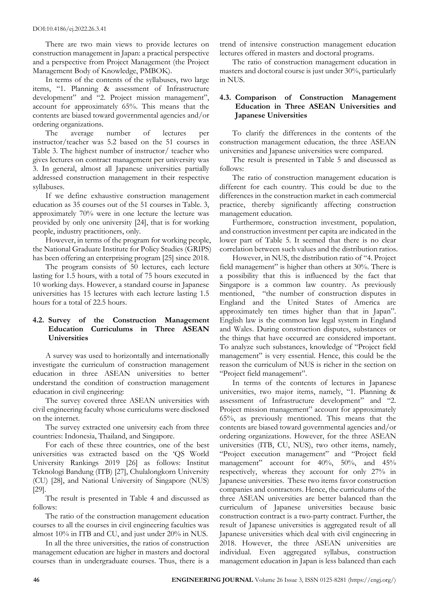There are two main views to provide lectures on construction management in Japan: a practical perspective and a perspective from Project Management (the Project Management Body of Knowledge, PMBOK).

In terms of the contents of the syllabuses, two large items, "1. Planning & assessment of Infrastructure development" and "2. Project mission management", account for approximately 65%. This means that the contents are biased toward governmental agencies and/or ordering organizations.

The average number of lectures per instructor/teacher was 5.2 based on the 51 courses in Table 3. The highest number of instructor/ teacher who gives lectures on contract management per university was 3. In general, almost all Japanese universities partially addressed construction management in their respective syllabuses.

If we define exhaustive construction management education as 35 courses out of the 51 courses in Table. 3, approximately 70% were in one lecture the lecture was provided by only one university [24], that is for working people, industry practitioners, only.

However, in terms of the program for working people, the National Graduate Institute for Policy Studies (GRIPS) has been offering an enterprising program [25] since 2018.

The program consists of 50 lectures, each lecture lasting for 1.5 hours, with a total of 75 hours executed in 10 working days. However, a standard course in Japanese universities has 15 lectures with each lecture lasting 1.5 hours for a total of 22.5 hours.

# **4.2. Survey of the Construction Management Education Curriculums in Three ASEAN Universities**

A survey was used to horizontally and internationally investigate the curriculum of construction management education in three ASEAN universities to better understand the condition of construction management education in civil engineering:

The survey covered three ASEAN universities with civil engineering faculty whose curriculums were disclosed on the internet.

The survey extracted one university each from three countries: Indonesia, Thailand, and Singapore.

For each of these three countries, one of the best universities was extracted based on the 'QS World University Rankings 2019 [26] as follows: Institut Teknologi Bandung (ITB) [27], Chulalongkorn University (CU) [28], and National University of Singapore (NUS) [29].

The result is presented in Table 4 and discussed as follows:

The ratio of the construction management education courses to all the courses in civil engineering faculties was almost 10% in ITB and CU, and just under 20% in NUS.

In all the three universities, the ratios of construction management education are higher in masters and doctoral courses than in [undergraduate courses](https://ejje.weblio.jp/content/undergraduate+course). Thus, there is a

trend of intensive construction management education lectures offered in masters and doctoral programs.

The ratio of construction management education in masters and doctoral course is just under 30%, particularly in NUS.

# **4.3. Comparison of Construction Management Education in Three ASEAN Universities and Japanese Universities**

To clarify the differences in the contents of the construction management education, the three ASEAN universities and Japanese universities were compared.

The result is presented in Table 5 and discussed as follows:

The ratio of construction management education is different for each country. This could be due to the differences in the construction market in each commercial practice, thereby significantly affecting construction management education.

Furthermore, construction investment, population, and construction investment per capita are indicated in the lower part of Table 5. It seemed that there is no clear correlation between such values and the distribution ratios.

However, in NUS, the distribution ratio of "4. Project field management" is higher than others at 30%. There is a possibility that this is influenced by the fact that Singapore is a common law country. [As previously](https://ejje.weblio.jp/content/As+mentioned+above)  [mentioned,](https://ejje.weblio.jp/content/As+mentioned+above) "the number of construction disputes in England and the United States of America are approximately ten times higher than that in Japan". English law is the [common law](https://en.wikipedia.org/wiki/Common_law) [legal system](https://en.wikipedia.org/wiki/List_of_national_legal_systems) in [England](https://en.wikipedia.org/wiki/England_and_Wales)  [and Wales.](https://en.wikipedia.org/wiki/England_and_Wales) During construction disputes, substances or the things that have occurred are considered important. To analyze such substances, knowledge of "Project field management" is very essential. Hence, this could be the reason the curriculum of NUS is richer in the section on "Project field management".

In terms of the contents of lectures in Japanese universities, two major items, namely, "1. Planning & assessment of Infrastructure development" and "2. Project mission management" account for approximately 65%, as previously mentioned. This means that the contents are biased toward governmental agencies and/or ordering organizations. However, for the three ASEAN universities (ITB, CU, NUS), two other items, namely, "Project execution management" and "Project field management" account for 40%, 50%, and 45% respectively, whereas they account for only 27% in Japanese universities. These two items favor construction companies and contractors. Hence, the curriculums of the three ASEAN universities are better balanced than the curriculum of Japanese universities because basic construction contract is a two-party contract. Further, the result of Japanese universities is aggregated result of all Japanese universities which deal with civil engineering in 2018. However, the three ASEAN universities are individual. Even aggregated syllabus, construction management education in Japan is less balanced than each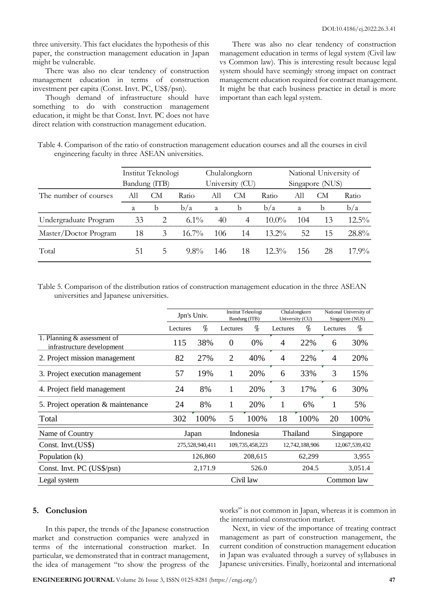three university. This fact elucidates the hypothesis of this paper, the construction management education in Japan might be vulnerable.

There was also no clear tendency of construction management education in terms of construction investment per capita (Const. Invt. PC, US\$/psn).

Though demand of infrastructure should have something to do with construction management education, it might be that Const. Invt. PC does not have direct relation with construction management education.

There was also no clear tendency of construction management education in terms of legal system (Civil law vs Common law). This is interesting result because legal system should have seemingly strong impact on contract management education required for contract management. It might be that each business practice in detail is more important than each legal system.

| Table 4. Comparison of the ratio of construction management education courses and all the courses in civil |  |  |  |  |
|------------------------------------------------------------------------------------------------------------|--|--|--|--|
| engineering faculty in three ASEAN universities.                                                           |  |  |  |  |

|                       |               | Institut Teknologi |          |     | Chulalongkorn   |                 | National University of |    |          |  |  |  |
|-----------------------|---------------|--------------------|----------|-----|-----------------|-----------------|------------------------|----|----------|--|--|--|
|                       | Bandung (ITB) |                    |          |     | University (CU) | Singapore (NUS) |                        |    |          |  |  |  |
| The number of courses | All           | CМ                 | Ratio    | All | CМ              | Ratio           | All                    | CМ | Ratio    |  |  |  |
|                       | a             | b                  | b/a      | a   | b               | b/a             | a                      | b  | b/a      |  |  |  |
| Undergraduate Program | 33            | 2                  | $6.1\%$  | 40  | 4               | $10.0\%$        | 104                    | 13 | $12.5\%$ |  |  |  |
| Master/Doctor Program | 18            | 3                  | $16.7\%$ | 106 | 14              | $13.2\%$        | 52                     | 15 | 28.8%    |  |  |  |
| Total                 | 51            |                    | $9.8\%$  | 146 | 18              | $12.3\%$        | 156                    | 28 | $17.9\%$ |  |  |  |

Table 5. Comparison of the distribution ratios of construction management education in the three ASEAN universities and Japanese universities.

|                                                           |                 | Jpn's Univ. | Bandung (ITB)  | Institut Teknologi | Chulalongkorn<br>University (CU) |                | National University of<br>Singapore (NUS) |         |  |
|-----------------------------------------------------------|-----------------|-------------|----------------|--------------------|----------------------------------|----------------|-------------------------------------------|---------|--|
|                                                           | Lectures        | $\%$        | Lectures       | $\%$               | Lectures                         | $\%$           | Lectures                                  | $\%$    |  |
| 1. Planning & assessment of<br>infrastructure development | 115             | 38%         | $\theta$       | 0%                 | 4                                | 22%            | 6                                         | 30%     |  |
| 2. Project mission management                             | 82              | 27%         | $\overline{2}$ | 40%                | $\overline{4}$                   | 22%            | 4                                         | 20%     |  |
| 3. Project execution management                           | 57              | 19%         | 1              | 20%                | 6                                | 33%            | 3                                         | 15%     |  |
| 4. Project field management                               | 24              | 8%          | 1              | 20%                | 3                                | 17%            | 6                                         | 30%     |  |
| 5. Project operation & maintenance                        | 24              | 8%          | 1              | 20%                | 1                                | 6%             | 1                                         | 5%      |  |
| Total                                                     | 302             | 100%        | 5              | 100%               | 18                               | 100%           | 20                                        | 100%    |  |
| Name of Country                                           |                 | Japan       |                | Indonesia          |                                  | Thailand       | Singapore                                 |         |  |
| Const. Invt.(US\$)                                        | 275,528,940,411 |             |                | 109,735,458,223    |                                  | 12,742,188,906 | 12,067,539,432                            |         |  |
| Population (k)                                            | 126,860         |             |                | 208,615            |                                  | 62,299         |                                           | 3,955   |  |
| Const. Invt. PC (US\$/psn)                                |                 | 2,171.9     |                | 526.0              |                                  | 204.5          |                                           | 3,051.4 |  |
| Legal system                                              |                 |             |                | Civil law          |                                  |                | Common law                                |         |  |

#### **5. Conclusion**

In this paper, the trends of the Japanese construction market and construction companies were analyzed in terms of the international construction market. In particular, we demonstrated that in contract management, the idea of management "to show the progress of the works" is not common in Japan, whereas it is common in the international construction market.

Next, in view of the importance of treating contract management as part of construction management, the current condition of construction management education in Japan was evaluated through a survey of syllabuses in Japanese universities. Finally, horizontal and international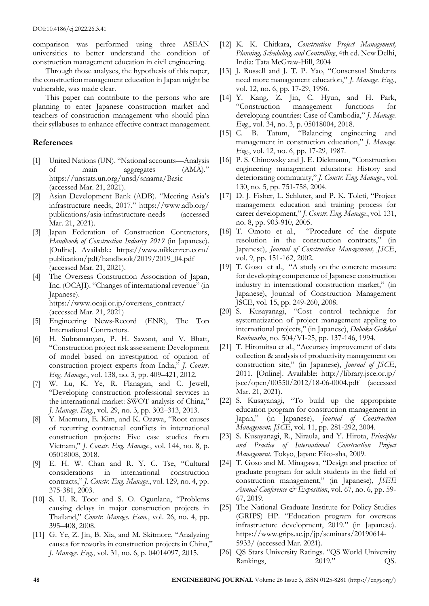comparison was performed using three ASEAN universities to better understand the condition of construction management education in civil engineering.

Through those analyses, the hypothesis of this paper, the construction management education in Japan might be vulnerable, was made clear.

This paper can contribute to the persons who are planning to enter Japanese construction market and teachers of construction management who should plan thei[r syllabuses](https://ejje.weblio.jp/content/syllabuses) to enhance effective contract management.

#### **References**

- [1] United Nations (UN). "National accounts—Analysis of main aggregates (AMA)." <https://unstats.un.org/unsd/snaama/Basic> (accessed Mar. 21, 2021).
- [2] Asian Development Bank (ADB). "Meeting Asia's infrastructure needs, 2017." https://www.adb.org/ publications/asia-infrastructure-needs (accessed Mar. 21, 2021).
- [3] Japan Federation of Construction Contractors, *Handbook of Construction Industry 2019* (in Japanese). [Online]. Available: https://www.nikkenren.com/ publication/pdf/handbook/2019/2019\_04.pdf (accessed Mar. 21, 2021).
- [4] The Overseas Construction Association of Japan, Inc. (OCAJI). "Changes of international revenue" (in Japanese). [https://www.ocaji.or.jp/overseas\\_contract/](https://www.ocaji.or.jp/overseas_contract/) (accessed Mar. 21, 2021)
- [5] Engineering News-Record (ENR), The Top International Contractors.
- [6] H. Subramanyan, P. H. Sawant, and V. Bhatt, "Construction project risk assessment: Development of model based on investigation of opinion of construction project experts from India," *J. Constr. Eng. Manage.*, vol. 138, no. 3, pp. 409–421, 2012.
- [7] W. Lu, K. Ye, R. Flanagan, and C. Jewell, "Developing construction professional services in the international market: SWOT analysis of China," *J. Manage. Eng.*, vol. 29, no. 3, pp. 302–313, 2013.
- [8] Y. Maemura, E. Kim, and K. Ozawa, "Root causes of recurring contractual conflicts in international construction projects: Five case studies from Vietnam," *J. Constr. Eng. Manage.*, vol. 144, no. 8, p. 05018008, 2018.
- [9] E. H. W. Chan and R. Y. C. Tse, "Cultural considerations in international construction contracts," *J. Constr. Eng. Manage.*, vol. 129, no. 4, pp. 375-381, 2003.
- [10] S. U. R. Toor and S. O. Ogunlana, "Problems causing delays in major construction projects in Thailand," *Constr. Manage. Econ.*, vol. 26, no. 4, pp. 395–408, 2008.
- [11] G. Ye, Z. Jin, B. Xia, and M. Skitmore, "Analyzing causes for reworks in construction projects in China," *J. Manage. Eng.*, vol. 31, no. 6, p. 04014097, 2015.
- [12] K. K. Chitkara, *Construction Project Management, Planning, Scheduling, and Controlling*, 4th ed. New Delhi, India: Tata McGraw-Hill, 2004
- [13] J. Russell and J. T. P. Yao, "Consensus! Students need more management education," *J. Manage. Eng.*, vol. 12, no. 6, pp. 17-29, 1996.
- [14] Y. Kang, Z. Jin, C. Hyun, and H. Park, "Construction management functions for developing countries: Case of Cambodia," *J. Manage. Eng.*, vol. 34, no. 3, p. 05018004, 2018.
- [15] C. B. Tatum, "Balancing engineering and management in construction education," *J. Manage. Eng.*, vol. 12, no. 6, pp. 17-29, 1987.
- [16] P. S. Chinowsky and J. E. Diekmann, "Construction engineering management educators: History and deteriorating community," *J. Constr. Eng. Manage.*, vol. 130, no. 5, pp. 751-758, 2004.
- [17] D. J. Fisher, L. Schluter, and P. K. Toleti, "Project" management education and training process for career development," *J. Constr. Eng. Manage.*, vol. 131, no. 8, pp. 903-910, 2005.
- [18] T. Omoto et al., "Procedure of the dispute resolution in the construction contracts," (in Japanese), *[Journal of Construction Management,](https://www.researchgate.net/journal/1884-8311_Journal_of_Construction_Management_JSCE) JSCE*, vol. 9, pp. 151-162, 2002.
- [19] T. Goso et al., "A study on the concrete measure for developing competence of Japanese construction industry in international construction market," (in Japanese), [Journal of Construction Management](https://www.researchgate.net/journal/1884-8311_Journal_of_Construction_Management_JSCE)  [JSCE,](https://www.researchgate.net/journal/1884-8311_Journal_of_Construction_Management_JSCE) vol. 15, pp. 249-260, 2008.
- [20] S. Kusayanagi, "Cost control technique for systematization of project management appling to international projects," (in Japanese), *Doboku Gakkai Ronbunshu*, no. 504/VI-25, pp. 137-146, 1994.
- [21] T. Hiromitsu et al., "Accuracy improvement of data collection & analysis of productivity management on construction site," (in Japanese), *Journal of JSCE*, 2011. [Online]. Available: http://library.jsce.or.jp/ jsce/open/00550/2012/18-06-0004.pdf (accessed Mar. 21, 2021).
- [22] S. Kusayanagi, "To build up the appropriate education program for construction management in Japan," (in Japanese), *[Journal of Construction](https://www.researchgate.net/journal/1884-8311_Journal_of_Construction_Management_JSCE)  [Management,](https://www.researchgate.net/journal/1884-8311_Journal_of_Construction_Management_JSCE) JSCE*, vol. 11, pp. 281-292, 2004.
- [23] S. Kusayanagi, R., Niraula, and Y. Hirota, *Principles and Practice of International Construction Project Management*. Tokyo, Japan: Eiko-sha, 2009.
- [24] T. Goso and M. Minagawa, "Design and practice of graduate program for adult students in the field of construction management," (in Japanese), *JSEE Annual Conference & Exposition*, vol. 67, no. 6, pp. 59- 67, 2019.
- [25] The National Graduate Institute for Policy Studies (GRIPS) HP. "Education program for overseas infrastructure development, 2019." (in Japanese). https://www.grips.ac.jp/jp/seminars/20190614- 5933/ (accessed Mar. 2021).
- [26] QS Stars University Ratings. "QS World University Rankings, 2019." QS.